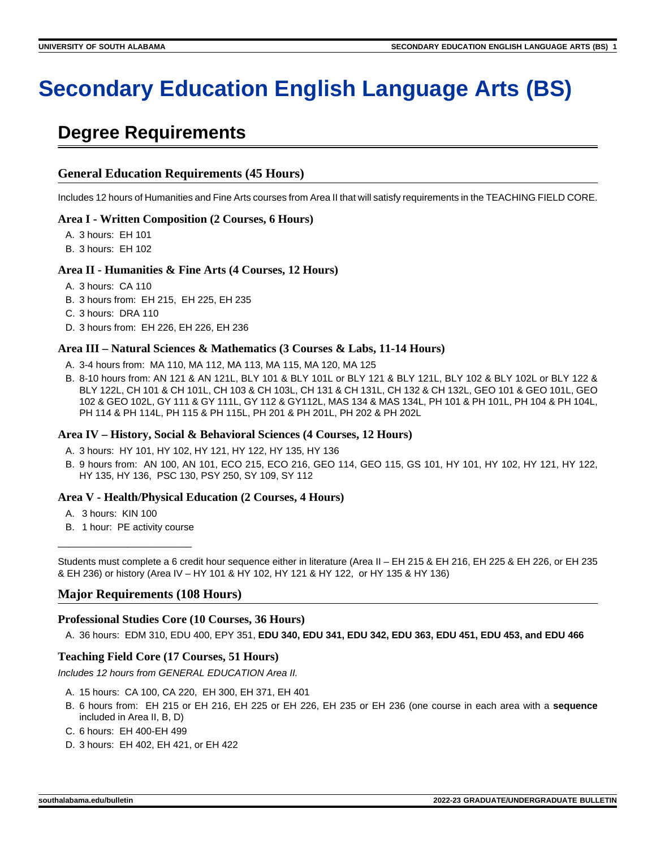# **Secondary Education English Language Arts (BS)**

# **Degree Requirements**

# **General Education Requirements (45 Hours)**

Includes 12 hours of Humanities and Fine Arts courses from Area II that will satisfy requirements in the TEACHING FIELD CORE.

# **Area I - Written Composition (2 Courses, 6 Hours)**

- A. 3 hours: EH 101
- B. 3 hours: EH 102

# **Area II - Humanities & Fine Arts (4 Courses, 12 Hours)**

- A. 3 hours: CA 110
- B. 3 hours from: EH 215, EH 225, EH 235
- C. 3 hours: DRA 110
- D. 3 hours from: EH 226, EH 226, EH 236

### **Area III – Natural Sciences & Mathematics (3 Courses & Labs, 11-14 Hours)**

- A. 3-4 hours from: MA 110, MA 112, MA 113, MA 115, MA 120, MA 125
- B. 8-10 hours from: AN 121 & AN 121L, BLY 101 & BLY 101L or BLY 121 & BLY 121L, BLY 102 & BLY 102L or BLY 122 & BLY 122L, CH 101 & CH 101L, CH 103 & CH 103L, CH 131 & CH 131L, CH 132 & CH 132L, GEO 101 & GEO 101L, GEO 102 & GEO 102L, GY 111 & GY 111L, GY 112 & GY112L, MAS 134 & MAS 134L, PH 101 & PH 101L, PH 104 & PH 104L, PH 114 & PH 114L, PH 115 & PH 115L, PH 201 & PH 201L, PH 202 & PH 202L

# **Area IV – History, Social & Behavioral Sciences (4 Courses, 12 Hours)**

- A. 3 hours: HY 101, HY 102, HY 121, HY 122, HY 135, HY 136
- B. 9 hours from: AN 100, AN 101, ECO 215, ECO 216, GEO 114, GEO 115, GS 101, HY 101, HY 102, HY 121, HY 122, HY 135, HY 136, PSC 130, PSY 250, SY 109, SY 112

# **Area V - Health/Physical Education (2 Courses, 4 Hours)**

- A. 3 hours: KIN 100
- B. 1 hour: PE activity course \_\_\_\_\_\_\_\_\_\_\_\_\_\_\_\_\_\_\_\_\_\_\_\_\_

Students must complete a 6 credit hour sequence either in literature (Area II – EH 215 & EH 216, EH 225 & EH 226, or EH 235 & EH 236) or history (Area IV – HY 101 & HY 102, HY 121 & HY 122, or HY 135 & HY 136)

# **Major Requirements (108 Hours)**

# **Professional Studies Core (10 Courses, 36 Hours)**

A. 36 hours: EDM 310, EDU 400, EPY 351, **EDU 340, EDU 341, EDU 342, EDU 363, EDU 451, EDU 453, and EDU 466**

# **Teaching Field Core (17 Courses, 51 Hours)**

Includes 12 hours from GENERAL EDUCATION Area II.

- A. 15 hours: CA 100, CA 220, EH 300, EH 371, EH 401
- B. 6 hours from: EH 215 or EH 216, EH 225 or EH 226, EH 235 or EH 236 (one course in each area with a **sequence** included in Area II, B, D)
- C. 6 hours: EH 400-EH 499
- D. 3 hours: EH 402, EH 421, or EH 422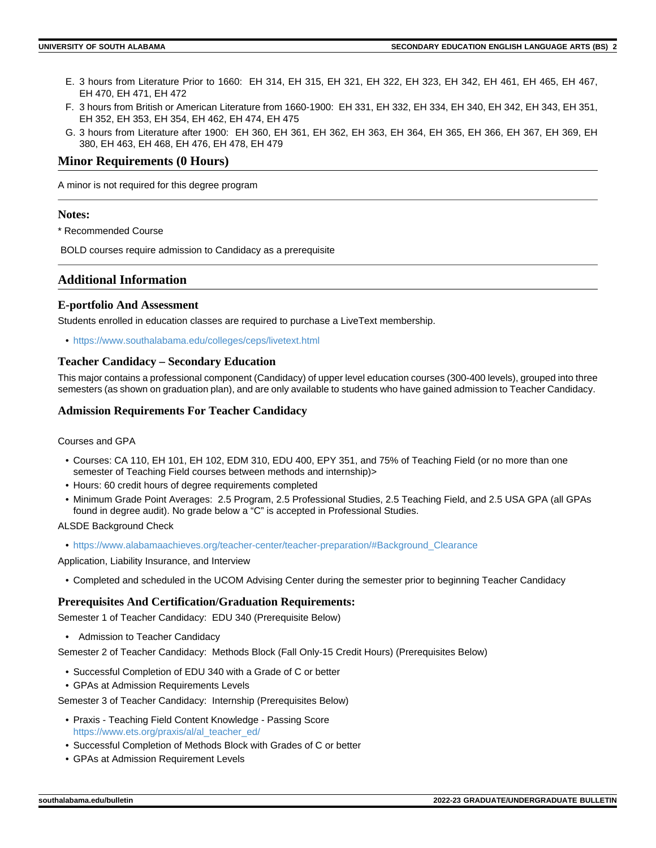- E. 3 hours from Literature Prior to 1660: EH 314, EH 315, EH 321, EH 322, EH 323, EH 342, EH 461, EH 465, EH 467, EH 470, EH 471, EH 472
- F. 3 hours from British or American Literature from 1660-1900: EH 331, EH 332, EH 334, EH 340, EH 342, EH 343, EH 351, EH 352, EH 353, EH 354, EH 462, EH 474, EH 475
- G. 3 hours from Literature after 1900: EH 360, EH 361, EH 362, EH 363, EH 364, EH 365, EH 366, EH 367, EH 369, EH 380, EH 463, EH 468, EH 476, EH 478, EH 479

# **Minor Requirements (0 Hours)**

A minor is not required for this degree program

#### **Notes:**

\* Recommended Course

BOLD courses require admission to Candidacy as a prerequisite

# **Additional Information**

### **E-portfolio And Assessment**

Students enrolled in education classes are required to purchase a LiveText membership.

• <https://www.southalabama.edu/colleges/ceps/livetext.html>

### **Teacher Candidacy – Secondary Education**

This major contains a professional component (Candidacy) of upper level education courses (300-400 levels), grouped into three semesters (as shown on graduation plan), and are only available to students who have gained admission to Teacher Candidacy.

#### **Admission Requirements For Teacher Candidacy**

#### Courses and GPA

- Courses: CA 110, EH 101, EH 102, EDM 310, EDU 400, EPY 351, and 75% of Teaching Field (or no more than one semester of Teaching Field courses between methods and internship)>
- Hours: 60 credit hours of degree requirements completed
- Minimum Grade Point Averages: 2.5 Program, 2.5 Professional Studies, 2.5 Teaching Field, and 2.5 USA GPA (all GPAs found in degree audit). No grade below a "C" is accepted in Professional Studies.

#### ALSDE Background Check

• [https://www.alabamaachieves.org/teacher-center/teacher-preparation/#Background\\_Clearance](https://www.alabamaachieves.org/teacher-center/teacher-preparation/#Background_Clearance)

Application, Liability Insurance, and Interview

• Completed and scheduled in the UCOM Advising Center during the semester prior to beginning Teacher Candidacy

#### **Prerequisites And Certification/Graduation Requirements:**

Semester 1 of Teacher Candidacy: EDU 340 (Prerequisite Below)

• Admission to Teacher Candidacy

Semester 2 of Teacher Candidacy: Methods Block (Fall Only-15 Credit Hours) (Prerequisites Below)

- Successful Completion of EDU 340 with a Grade of C or better
- GPAs at Admission Requirements Levels

Semester 3 of Teacher Candidacy: Internship (Prerequisites Below)

- Praxis Teaching Field Content Knowledge Passing Score [https://www.ets.org/praxis/al/al\\_teacher\\_ed/](https://www.ets.org/praxis/al/al_teacher_ed/)
- Successful Completion of Methods Block with Grades of C or better
- GPAs at Admission Requirement Levels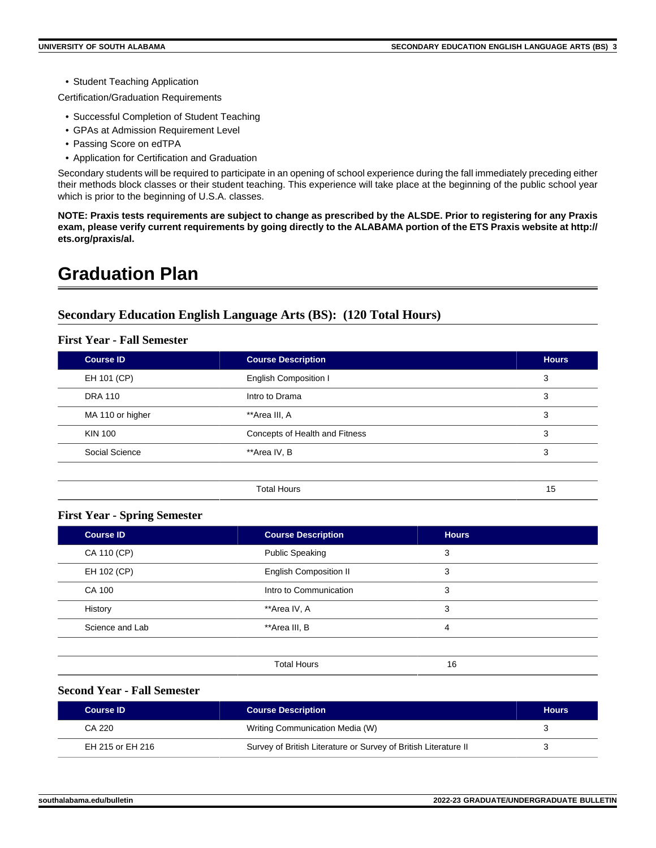• Student Teaching Application

Certification/Graduation Requirements

- Successful Completion of Student Teaching
- GPAs at Admission Requirement Level
- Passing Score on edTPA
- Application for Certification and Graduation

Secondary students will be required to participate in an opening of school experience during the fall immediately preceding either their methods block classes or their student teaching. This experience will take place at the beginning of the public school year which is prior to the beginning of U.S.A. classes.

**NOTE: Praxis tests requirements are subject to change as prescribed by the ALSDE. Prior to registering for any Praxis exam, please verify current requirements by going directly to the ALABAMA portion of the ETS Praxis website at http:// ets.org/praxis/al.**

# **Graduation Plan**

# **Secondary Education English Language Arts (BS): (120 Total Hours)**

# **First Year - Fall Semester**

| <b>Course ID</b> | <b>Course Description</b>      | <b>Hours</b> |
|------------------|--------------------------------|--------------|
| EH 101 (CP)      | English Composition I          | 3            |
| <b>DRA 110</b>   | Intro to Drama                 | 3            |
| MA 110 or higher | **Area III, A                  | 3            |
| <b>KIN 100</b>   | Concepts of Health and Fitness | 3            |
| Social Science   | **Area IV, B                   | 3            |
|                  |                                |              |
|                  | <b>Total Hours</b>             | 15           |

# **First Year - Spring Semester**

| <b>Course ID</b> | <b>Course Description</b>     | <b>Hours</b> |  |
|------------------|-------------------------------|--------------|--|
| CA 110 (CP)      | <b>Public Speaking</b>        | 3            |  |
| EH 102 (CP)      | <b>English Composition II</b> | 3            |  |
| CA 100           | Intro to Communication        | 3            |  |
| History          | **Area IV, A                  | 3            |  |
| Science and Lab  | **Area III, B                 | 4            |  |
|                  |                               |              |  |
|                  | <b>Total Hours</b>            | 16           |  |

# **Second Year - Fall Semester**

| <b>Course ID</b> | <b>Course Description</b>                                       | <b>Hours</b> |
|------------------|-----------------------------------------------------------------|--------------|
| CA 220           | Writing Communication Media (W)                                 |              |
| EH 215 or EH 216 | Survey of British Literature or Survey of British Literature II | ັ            |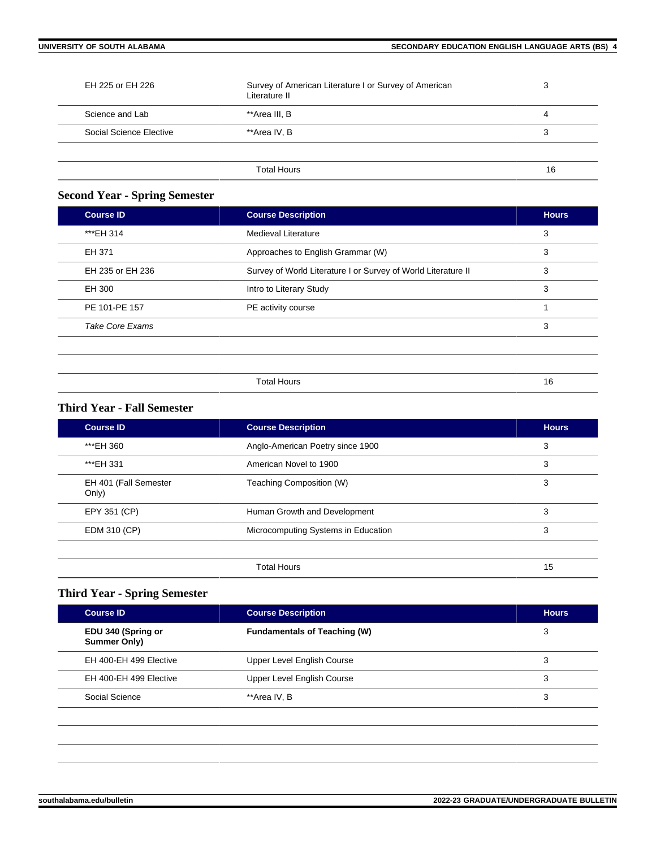| EH 225 or EH 226        | Survey of American Literature I or Survey of American<br>Literature II | 3  |
|-------------------------|------------------------------------------------------------------------|----|
| Science and Lab         | **Area III, B                                                          | 4  |
| Social Science Elective | **Area IV, B                                                           | 3  |
|                         |                                                                        |    |
|                         | Total Hours                                                            | 16 |

# **Second Year - Spring Semester**

| Medieval Literature<br>Approaches to English Grammar (W)      | 3<br>3 |
|---------------------------------------------------------------|--------|
|                                                               |        |
|                                                               |        |
| Survey of World Literature I or Survey of World Literature II | 3      |
| Intro to Literary Study                                       | 3      |
| PE activity course                                            |        |
|                                                               | 3      |
|                                                               |        |

| -<br>חו ∩ו-<br>אר |  |
|-------------------|--|

# **Third Year - Fall Semester**

| <b>Course ID</b>               | <b>Course Description</b>           | <b>Hours</b> |
|--------------------------------|-------------------------------------|--------------|
| *** EH 360                     | Anglo-American Poetry since 1900    | 3            |
| *** EH 331                     | American Novel to 1900              | 3            |
| EH 401 (Fall Semester<br>Only) | Teaching Composition (W)            | 3            |
| EPY 351 (CP)                   | Human Growth and Development        | 3            |
| EDM 310 (CP)                   | Microcomputing Systems in Education | 3            |
|                                |                                     |              |
|                                | <b>Total Hours</b>                  | 15           |

# **Third Year - Spring Semester**

| <b>Course ID</b>                   | <b>Course Description</b>           | <b>Hours</b> |
|------------------------------------|-------------------------------------|--------------|
| EDU 340 (Spring or<br>Summer Only) | <b>Fundamentals of Teaching (W)</b> | 3            |
| EH 400-EH 499 Elective             | Upper Level English Course          | 3            |
| EH 400-EH 499 Elective             | Upper Level English Course          | 3            |
| Social Science                     | **Area IV, B                        | 3            |
|                                    |                                     |              |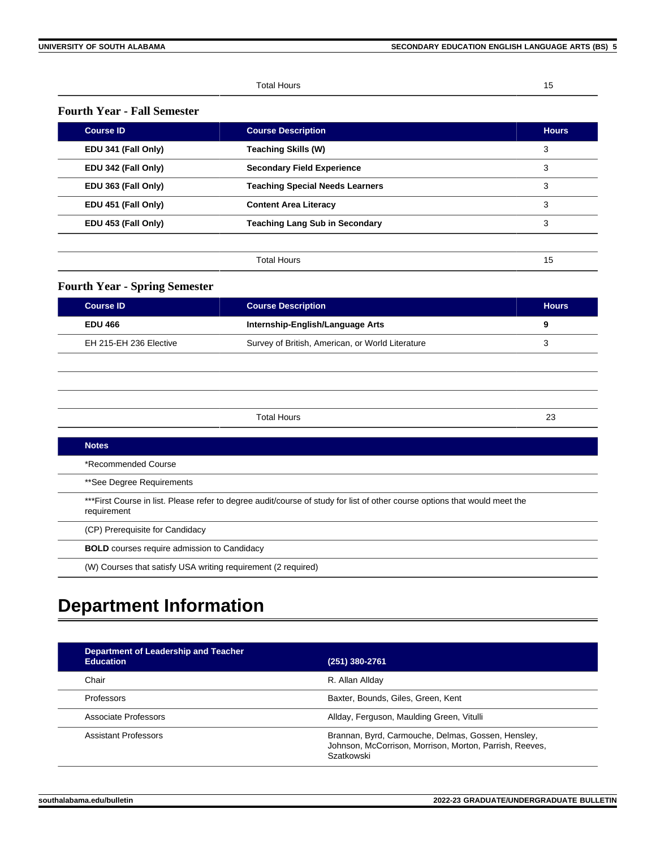Total Hours 15

# **Fourth Year - Fall Semester**

| <b>Course ID</b>    | <b>Course Description</b>              | <b>Hours</b> |
|---------------------|----------------------------------------|--------------|
| EDU 341 (Fall Only) | <b>Teaching Skills (W)</b>             | 3            |
| EDU 342 (Fall Only) | <b>Secondary Field Experience</b>      | 3            |
| EDU 363 (Fall Only) | <b>Teaching Special Needs Learners</b> | 3            |
| EDU 451 (Fall Only) | <b>Content Area Literacy</b>           | 3            |
| EDU 453 (Fall Only) | <b>Teaching Lang Sub in Secondary</b>  | 3            |
|                     |                                        |              |
|                     | <b>Total Hours</b>                     | 15           |

# **Fourth Year - Spring Semester**

| <b>Course ID</b>       | <b>Course Description</b>                        | <b>Hours</b> |
|------------------------|--------------------------------------------------|--------------|
| <b>EDU 466</b>         | Internship-English/Language Arts                 | 9            |
| EH 215-EH 236 Elective | Survey of British, American, or World Literature |              |

| <b>Notes</b>                                                                                                                               |
|--------------------------------------------------------------------------------------------------------------------------------------------|
| *Recommended Course                                                                                                                        |
| **See Degree Requirements                                                                                                                  |
| *** First Course in list. Please refer to degree audit/course of study for list of other course options that would meet the<br>requirement |
| (CP) Prerequisite for Candidacy                                                                                                            |
| <b>BOLD</b> courses require admission to Candidacy                                                                                         |
| (W) Courses that satisfy USA writing requirement (2 required)                                                                              |

Total Hours 23

# **Department Information**

| Department of Leadership and Teacher<br><b>Education</b><br>(251) 380-2761 |                                                                                                                             |
|----------------------------------------------------------------------------|-----------------------------------------------------------------------------------------------------------------------------|
| Chair                                                                      | R. Allan Allday                                                                                                             |
| Professors                                                                 | Baxter, Bounds, Giles, Green, Kent                                                                                          |
| Associate Professors                                                       | Allday, Ferguson, Maulding Green, Vitulli                                                                                   |
| Assistant Professors                                                       | Brannan, Byrd, Carmouche, Delmas, Gossen, Hensley,<br>Johnson, McCorrison, Morrison, Morton, Parrish, Reeves,<br>Szatkowski |